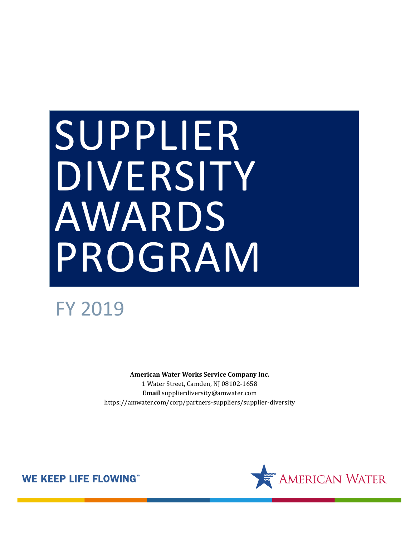# SUPPLIER DIVERSITY AWARDS PROGRAM

## FY 2019

**American Water Works Service Company Inc.** 1 Water Street, Camden, NJ 08102-1658 **Email** supplierdiversity@amwater.com https://amwater.com/corp/partners-suppliers/supplier-diversity



**WE KEEP LIFE FLOWING**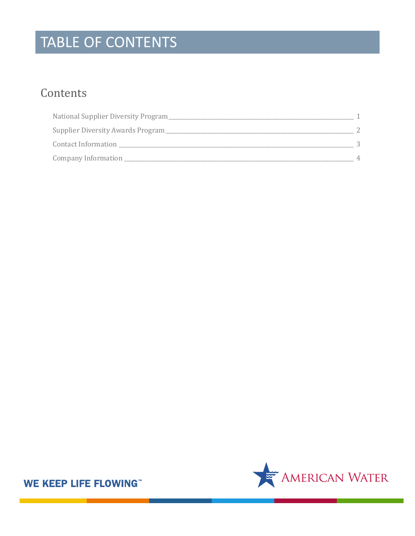## TABLE OF CONTENTS

## Contents

| National Supplier Diversity Program |          |
|-------------------------------------|----------|
| Supplier Diversity Awards Program   |          |
| Contact Information                 |          |
| Company Information                 | $\Delta$ |



**WE KEEP LIFE FLOWING**"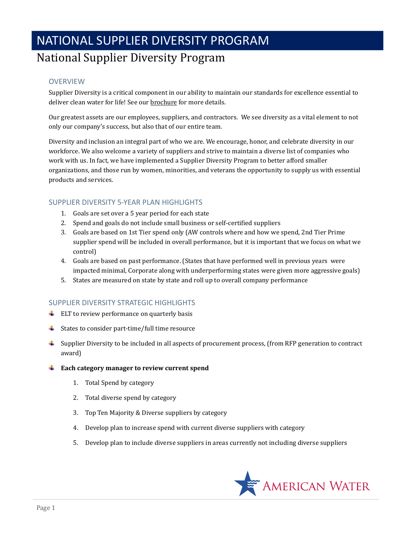## NATIONAL SUPPLIER DIVERSITY PROGRAM

#### <span id="page-2-0"></span>National Supplier Diversity Program

#### **OVERVIEW**

Supplier Diversity is a critical component in our ability to maintain our standards for excellence essential to deliver clean water for life! See ou[r brochure](https://dnnh3qht4.blob.core.windows.net/portals/0/Supplier%20Forms/American%20Water%20Diversity%20Brochure.pdf?sr=b&si=DNNFileManagerPolicy&sig=zpqRoPpWAxHJPp3wiNLQMf87Cdf%2Fg0OJN0RqA5Zw3nY%3D) for more details.

Our greatest assets are our employees, suppliers, and contractors. We see diversity as a vital element to not only our company's success, but also that of our entire team.

Diversity and inclusion an integral part of who we are. We encourage, honor, and celebrate diversity in our workforce. We also welcome a variety of suppliers and strive to maintain a diverse list of companies who work with us. In fact, we have implemented a Supplier Diversity Program to better afford smaller organizations, and those run by women, minorities, and veterans the opportunity to supply us with essential products and services.

#### SUPPLIER DIVERSITY 5-YEAR PLAN HIGHLIGHTS

- 1. Goals are set over a 5 year period for each state
- 2. Spend and goals do not include small business or self-certified suppliers
- 3. Goals are based on 1st Tier spend only (AW controls where and how we spend, 2nd Tier Prime supplier spend will be included in overall performance, but it is important that we focus on what we control)
- 4. Goals are based on past performance. (States that have performed well in previous years were impacted minimal, Corporate along with underperforming states were given more aggressive goals)
- 5. States are measured on state by state and roll up to overall company performance

#### SUPPLIER DIVERSITY STRATEGIC HIGHLIGHTS

- $\overline{\phantom{a} \bullet}$  ELT to review performance on quarterly basis
- $\ddot{\bullet}$  States to consider part-time/full time resource
- $\ddot{\phantom{1}}$  Supplier Diversity to be included in all aspects of procurement process, (from RFP generation to contract award)
- **Each category manager to review current spend** 
	- 1. Total Spend by category
	- 2. Total diverse spend by category
	- 3. Top Ten Majority & Diverse suppliers by category
	- 4. Develop plan to increase spend with current diverse suppliers with category
	- 5. Develop plan to include diverse suppliers in areas currently not including diverse suppliers

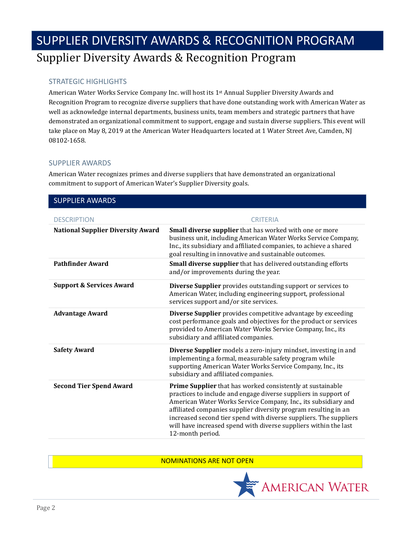## <span id="page-3-0"></span>SUPPLIER DIVERSITY AWARDS & RECOGNITION PROGRAM Supplier Diversity Awards & Recognition Program

#### STRATEGIC HIGHLIGHTS

American Water Works Service Company Inc. will host its 1st Annual Supplier Diversity Awards and Recognition Program to recognize diverse suppliers that have done outstanding work with American Water as well as acknowledge internal departments, business units, team members and strategic partners that have demonstrated an organizational commitment to support, engage and sustain diverse suppliers. This event will take place on May 8, 2019 at the American Water Headquarters located at 1 Water Street Ave, Camden, NJ 08102-1658.

#### SUPPLIER AWARDS

American Water recognizes primes and diverse suppliers that have demonstrated an organizational commitment to support of American Water's Supplier Diversity goals.

| <b>DESCRIPTION</b>                       | <b>CRITERIA</b>                                                                                                                                                                                                                                                                                                                                                                                                                 |
|------------------------------------------|---------------------------------------------------------------------------------------------------------------------------------------------------------------------------------------------------------------------------------------------------------------------------------------------------------------------------------------------------------------------------------------------------------------------------------|
| <b>National Supplier Diversity Award</b> | Small diverse supplier that has worked with one or more<br>business unit, including American Water Works Service Company,<br>Inc., its subsidiary and affiliated companies, to achieve a shared<br>goal resulting in innovative and sustainable outcomes.                                                                                                                                                                       |
| <b>Pathfinder Award</b>                  | Small diverse supplier that has delivered outstanding efforts<br>and/or improvements during the year.                                                                                                                                                                                                                                                                                                                           |
| <b>Support &amp; Services Award</b>      | Diverse Supplier provides outstanding support or services to<br>American Water, including engineering support, professional<br>services support and/or site services.                                                                                                                                                                                                                                                           |
| <b>Advantage Award</b>                   | Diverse Supplier provides competitive advantage by exceeding<br>cost performance goals and objectives for the product or services<br>provided to American Water Works Service Company, Inc., its<br>subsidiary and affiliated companies.                                                                                                                                                                                        |
| <b>Safety Award</b>                      | Diverse Supplier models a zero-injury mindset, investing in and<br>implementing a formal, measurable safety program while<br>supporting American Water Works Service Company, Inc., its<br>subsidiary and affiliated companies.                                                                                                                                                                                                 |
| <b>Second Tier Spend Award</b>           | Prime Supplier that has worked consistently at sustainable<br>practices to include and engage diverse suppliers in support of<br>American Water Works Service Company, Inc., its subsidiary and<br>affiliated companies supplier diversity program resulting in an<br>increased second tier spend with diverse suppliers. The suppliers<br>will have increased spend with diverse suppliers within the last<br>12-month period. |

#### NOMINATIONS ARE NOT OPEN

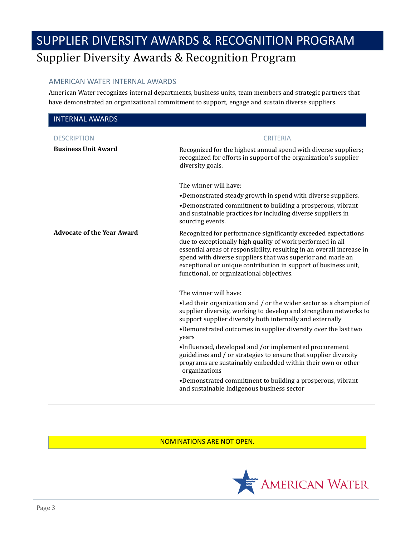## SUPPLIER DIVERSITY AWARDS & RECOGNITION PROGRAM Supplier Diversity Awards & Recognition Program

#### AMERICAN WATER INTERNAL AWARDS

American Water recognizes internal departments, business units, team members and strategic partners that have demonstrated an organizational commitment to support, engage and sustain diverse suppliers.

| <b>INTERNAL AWARDS</b>            |                                                                                                                                                                                                                                                                                                                                                                                      |
|-----------------------------------|--------------------------------------------------------------------------------------------------------------------------------------------------------------------------------------------------------------------------------------------------------------------------------------------------------------------------------------------------------------------------------------|
| <b>DESCRIPTION</b>                | <b>CRITERIA</b>                                                                                                                                                                                                                                                                                                                                                                      |
| <b>Business Unit Award</b>        | Recognized for the highest annual spend with diverse suppliers;<br>recognized for efforts in support of the organization's supplier<br>diversity goals.                                                                                                                                                                                                                              |
|                                   | The winner will have:                                                                                                                                                                                                                                                                                                                                                                |
|                                   | •Demonstrated steady growth in spend with diverse suppliers.                                                                                                                                                                                                                                                                                                                         |
|                                   | •Demonstrated commitment to building a prosperous, vibrant<br>and sustainable practices for including diverse suppliers in<br>sourcing events.                                                                                                                                                                                                                                       |
| <b>Advocate of the Year Award</b> | Recognized for performance significantly exceeded expectations<br>due to exceptionally high quality of work performed in all<br>essential areas of responsibility, resulting in an overall increase in<br>spend with diverse suppliers that was superior and made an<br>exceptional or unique contribution in support of business unit,<br>functional, or organizational objectives. |
|                                   | The winner will have:                                                                                                                                                                                                                                                                                                                                                                |
|                                   | •Led their organization and / or the wider sector as a champion of<br>supplier diversity, working to develop and strengthen networks to<br>support supplier diversity both internally and externally                                                                                                                                                                                 |
|                                   | •Demonstrated outcomes in supplier diversity over the last two<br>years                                                                                                                                                                                                                                                                                                              |
|                                   | •Influenced, developed and /or implemented procurement<br>guidelines and / or strategies to ensure that supplier diversity<br>programs are sustainably embedded within their own or other<br>organizations                                                                                                                                                                           |
|                                   | •Demonstrated commitment to building a prosperous, vibrant<br>and sustainable Indigenous business sector                                                                                                                                                                                                                                                                             |

<span id="page-4-0"></span>NOMINATIONS ARE NOT OPEN.